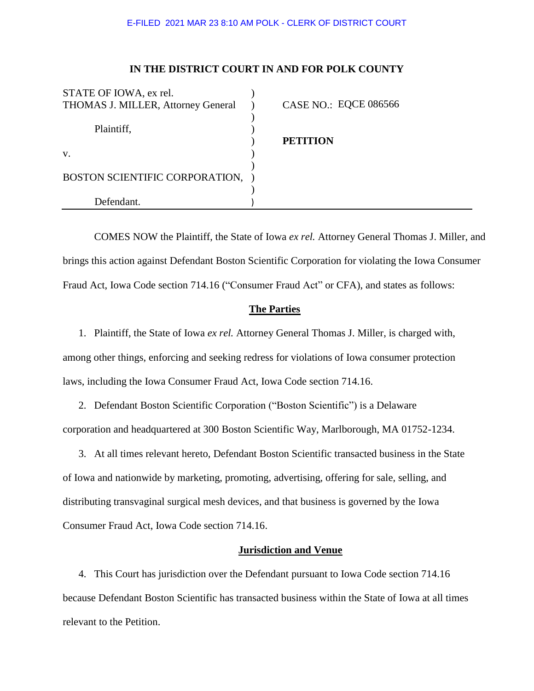# **IN THE DISTRICT COURT IN AND FOR POLK COUNTY**

| <b>CASE NO.: EQCE 086566</b> |
|------------------------------|
| <b>PETITION</b>              |
|                              |
|                              |
|                              |
|                              |
|                              |
|                              |

COMES NOW the Plaintiff, the State of Iowa *ex rel.* Attorney General Thomas J. Miller, and brings this action against Defendant Boston Scientific Corporation for violating the Iowa Consumer Fraud Act, Iowa Code section 714.16 ("Consumer Fraud Act" or CFA), and states as follows:

### **The Parties**

1. Plaintiff, the State of Iowa *ex rel.* Attorney General Thomas J. Miller, is charged with, among other things, enforcing and seeking redress for violations of Iowa consumer protection laws, including the Iowa Consumer Fraud Act, Iowa Code section 714.16.

2. Defendant Boston Scientific Corporation ("Boston Scientific") is a Delaware corporation and headquartered at 300 Boston Scientific Way, Marlborough, MA 01752-1234.

3. At all times relevant hereto, Defendant Boston Scientific transacted business in the State of Iowa and nationwide by marketing, promoting, advertising, offering for sale, selling, and distributing transvaginal surgical mesh devices, and that business is governed by the Iowa Consumer Fraud Act, Iowa Code section 714.16.

## **Jurisdiction and Venue**

4. This Court has jurisdiction over the Defendant pursuant to Iowa Code section 714.16 because Defendant Boston Scientific has transacted business within the State of Iowa at all times relevant to the Petition.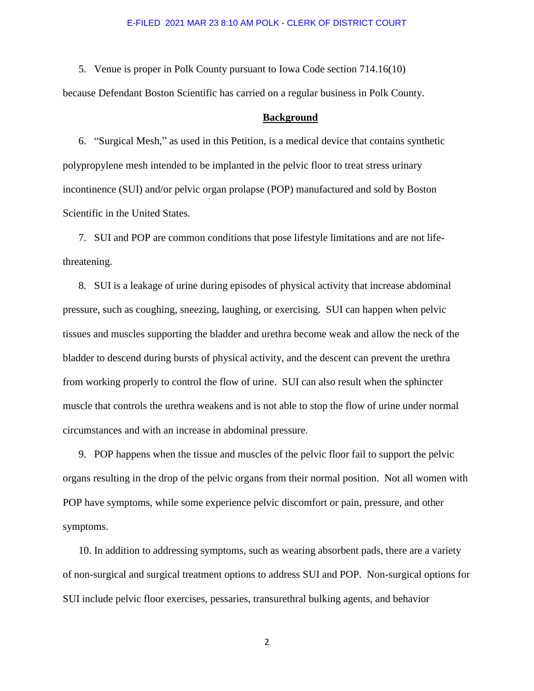5. Venue is proper in Polk County pursuant to Iowa Code section 714.16(10) because Defendant Boston Scientific has carried on a regular business in Polk County.

#### **Background**

6. "Surgical Mesh," as used in this Petition, is a medical device that contains synthetic polypropylene mesh intended to be implanted in the pelvic floor to treat stress urinary incontinence (SUI) and/or pelvic organ prolapse (POP) manufactured and sold by Boston Scientific in the United States.

7. SUI and POP are common conditions that pose lifestyle limitations and are not lifethreatening.

8. SUI is a leakage of urine during episodes of physical activity that increase abdominal pressure, such as coughing, sneezing, laughing, or exercising. SUI can happen when pelvic tissues and muscles supporting the bladder and urethra become weak and allow the neck of the bladder to descend during bursts of physical activity, and the descent can prevent the urethra from working properly to control the flow of urine. SUI can also result when the sphincter muscle that controls the urethra weakens and is not able to stop the flow of urine under normal circumstances and with an increase in abdominal pressure.

9. POP happens when the tissue and muscles of the pelvic floor fail to support the pelvic organs resulting in the drop of the pelvic organs from their normal position. Not all women with POP have symptoms, while some experience pelvic discomfort or pain, pressure, and other symptoms.

10. In addition to addressing symptoms, such as wearing absorbent pads, there are a variety of non-surgical and surgical treatment options to address SUI and POP. Non-surgical options for SUI include pelvic floor exercises, pessaries, transurethral bulking agents, and behavior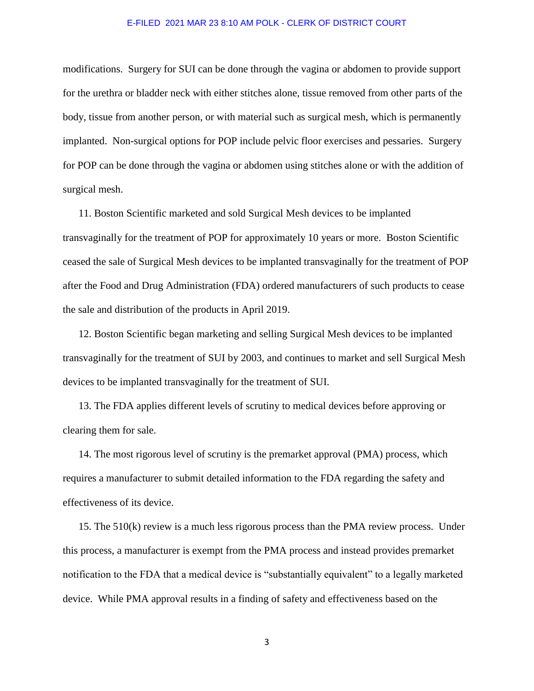modifications. Surgery for SUI can be done through the vagina or abdomen to provide support for the urethra or bladder neck with either stitches alone, tissue removed from other parts of the body, tissue from another person, or with material such as surgical mesh, which is permanently implanted. Non-surgical options for POP include pelvic floor exercises and pessaries. Surgery for POP can be done through the vagina or abdomen using stitches alone or with the addition of surgical mesh.

11. Boston Scientific marketed and sold Surgical Mesh devices to be implanted transvaginally for the treatment of POP for approximately 10 years or more. Boston Scientific ceased the sale of Surgical Mesh devices to be implanted transvaginally for the treatment of POP after the Food and Drug Administration (FDA) ordered manufacturers of such products to cease the sale and distribution of the products in April 2019.

12. Boston Scientific began marketing and selling Surgical Mesh devices to be implanted transvaginally for the treatment of SUI by 2003, and continues to market and sell Surgical Mesh devices to be implanted transvaginally for the treatment of SUI.

13. The FDA applies different levels of scrutiny to medical devices before approving or clearing them for sale.

14. The most rigorous level of scrutiny is the premarket approval (PMA) process, which requires a manufacturer to submit detailed information to the FDA regarding the safety and effectiveness of its device.

15. The 510(k) review is a much less rigorous process than the PMA review process. Under this process, a manufacturer is exempt from the PMA process and instead provides premarket notification to the FDA that a medical device is "substantially equivalent" to a legally marketed device. While PMA approval results in a finding of safety and effectiveness based on the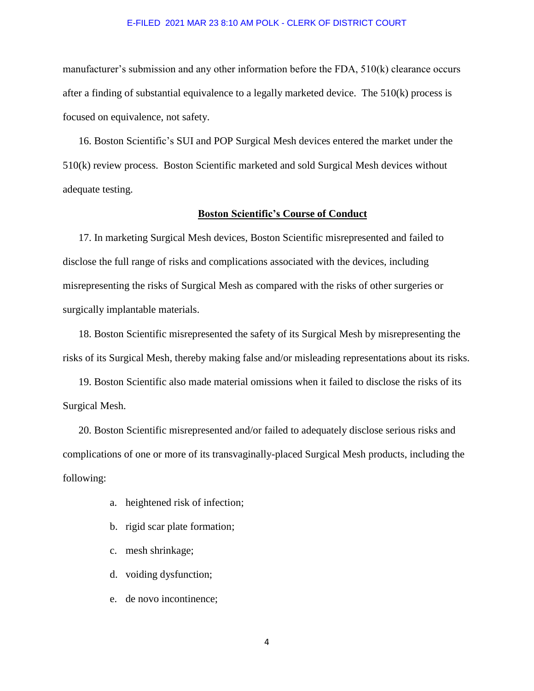manufacturer's submission and any other information before the FDA, 510(k) clearance occurs after a finding of substantial equivalence to a legally marketed device. The 510(k) process is focused on equivalence, not safety.

16. Boston Scientific's SUI and POP Surgical Mesh devices entered the market under the 510(k) review process. Boston Scientific marketed and sold Surgical Mesh devices without adequate testing.

### **Boston Scientific's Course of Conduct**

17. In marketing Surgical Mesh devices, Boston Scientific misrepresented and failed to disclose the full range of risks and complications associated with the devices, including misrepresenting the risks of Surgical Mesh as compared with the risks of other surgeries or surgically implantable materials.

18. Boston Scientific misrepresented the safety of its Surgical Mesh by misrepresenting the risks of its Surgical Mesh, thereby making false and/or misleading representations about its risks.

19. Boston Scientific also made material omissions when it failed to disclose the risks of its Surgical Mesh.

20. Boston Scientific misrepresented and/or failed to adequately disclose serious risks and complications of one or more of its transvaginally-placed Surgical Mesh products, including the following:

- a. heightened risk of infection;
- b. rigid scar plate formation;
- c. mesh shrinkage;
- d. voiding dysfunction;
- e. de novo incontinence;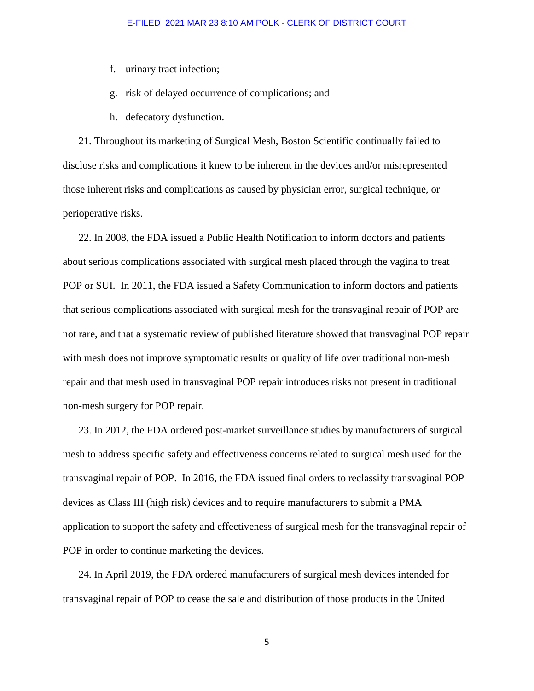- f. urinary tract infection;
- g. risk of delayed occurrence of complications; and
- h. defecatory dysfunction.

21. Throughout its marketing of Surgical Mesh, Boston Scientific continually failed to disclose risks and complications it knew to be inherent in the devices and/or misrepresented those inherent risks and complications as caused by physician error, surgical technique, or perioperative risks.

22. In 2008, the FDA issued a Public Health Notification to inform doctors and patients about serious complications associated with surgical mesh placed through the vagina to treat POP or SUI. In 2011, the FDA issued a Safety Communication to inform doctors and patients that serious complications associated with surgical mesh for the transvaginal repair of POP are not rare, and that a systematic review of published literature showed that transvaginal POP repair with mesh does not improve symptomatic results or quality of life over traditional non-mesh repair and that mesh used in transvaginal POP repair introduces risks not present in traditional non-mesh surgery for POP repair.

23. In 2012, the FDA ordered post-market surveillance studies by manufacturers of surgical mesh to address specific safety and effectiveness concerns related to surgical mesh used for the transvaginal repair of POP. In 2016, the FDA issued final orders to reclassify transvaginal POP devices as Class III (high risk) devices and to require manufacturers to submit a PMA application to support the safety and effectiveness of surgical mesh for the transvaginal repair of POP in order to continue marketing the devices.

24. In April 2019, the FDA ordered manufacturers of surgical mesh devices intended for transvaginal repair of POP to cease the sale and distribution of those products in the United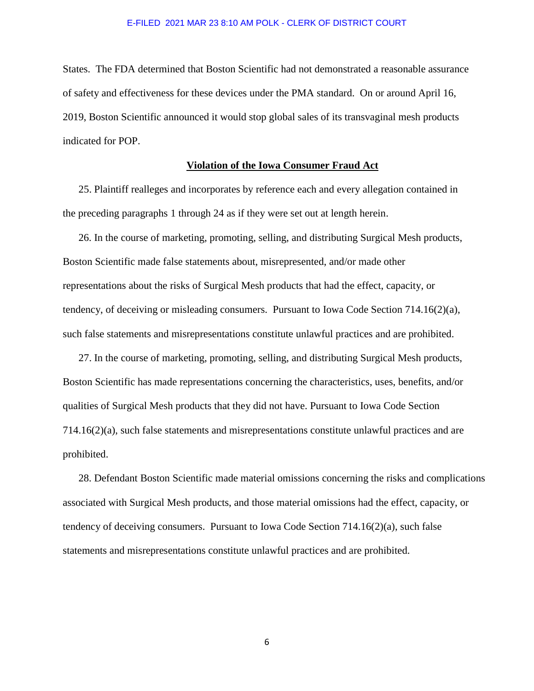States. The FDA determined that Boston Scientific had not demonstrated a reasonable assurance of safety and effectiveness for these devices under the PMA standard. On or around April 16, 2019, Boston Scientific announced it would stop global sales of its transvaginal mesh products indicated for POP.

# **Violation of the Iowa Consumer Fraud Act**

25. Plaintiff realleges and incorporates by reference each and every allegation contained in the preceding paragraphs 1 through 24 as if they were set out at length herein.

26. In the course of marketing, promoting, selling, and distributing Surgical Mesh products, Boston Scientific made false statements about, misrepresented, and/or made other representations about the risks of Surgical Mesh products that had the effect, capacity, or tendency, of deceiving or misleading consumers. Pursuant to Iowa Code Section 714.16(2)(a), such false statements and misrepresentations constitute unlawful practices and are prohibited.

27. In the course of marketing, promoting, selling, and distributing Surgical Mesh products, Boston Scientific has made representations concerning the characteristics, uses, benefits, and/or qualities of Surgical Mesh products that they did not have. Pursuant to Iowa Code Section 714.16(2)(a), such false statements and misrepresentations constitute unlawful practices and are prohibited.

28. Defendant Boston Scientific made material omissions concerning the risks and complications associated with Surgical Mesh products, and those material omissions had the effect, capacity, or tendency of deceiving consumers. Pursuant to Iowa Code Section  $714.16(2)(a)$ , such false statements and misrepresentations constitute unlawful practices and are prohibited.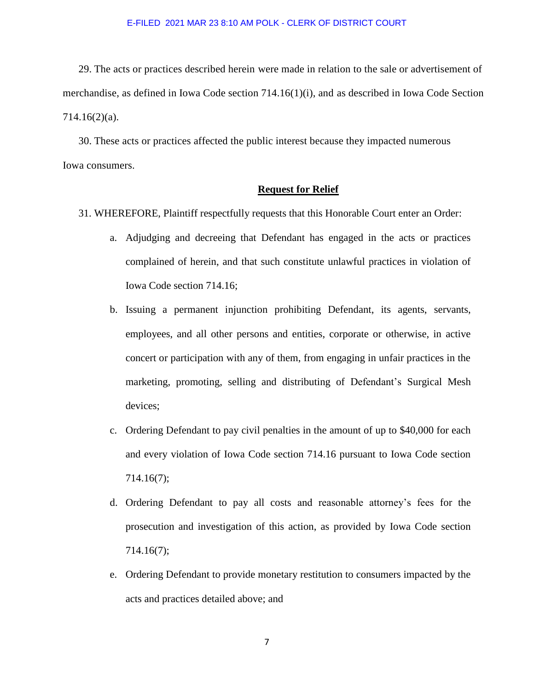29. The acts or practices described herein were made in relation to the sale or advertisement of merchandise, as defined in Iowa Code section 714.16(1)(i), and as described in Iowa Code Section 714.16(2)(a).

30. These acts or practices affected the public interest because they impacted numerous Iowa consumers.

## **Request for Relief**

- 31. WHEREFORE, Plaintiff respectfully requests that this Honorable Court enter an Order:
	- a. Adjudging and decreeing that Defendant has engaged in the acts or practices complained of herein, and that such constitute unlawful practices in violation of Iowa Code section 714.16;
	- b. Issuing a permanent injunction prohibiting Defendant, its agents, servants, employees, and all other persons and entities, corporate or otherwise, in active concert or participation with any of them, from engaging in unfair practices in the marketing, promoting, selling and distributing of Defendant's Surgical Mesh devices;
	- c. Ordering Defendant to pay civil penalties in the amount of up to \$40,000 for each and every violation of Iowa Code section 714.16 pursuant to Iowa Code section 714.16(7);
	- d. Ordering Defendant to pay all costs and reasonable attorney's fees for the prosecution and investigation of this action, as provided by Iowa Code section 714.16(7);
	- e. Ordering Defendant to provide monetary restitution to consumers impacted by the acts and practices detailed above; and